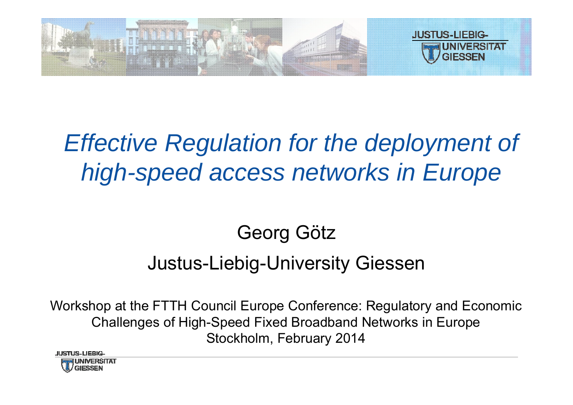

# *Effective Regulation for the deployment of high-speed access networks in Europe*

# Georg Götz

#### Justus-Liebig-University Giessen

Workshop at the FTTH Council Europe Conference: Regulatory and Economic Challenges of High-Speed Fixed Broadband Networks in Europe Stockholm, February 2014

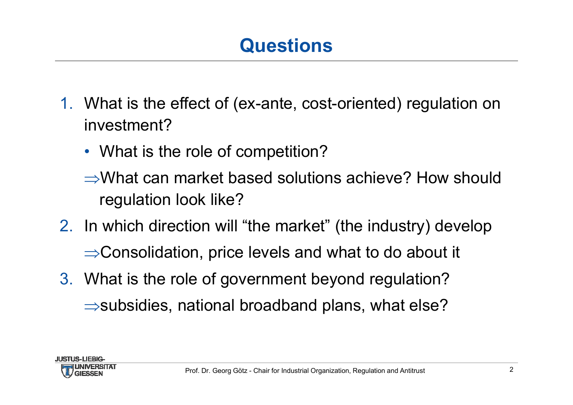# **Questions**

- 1. What is the effect of (ex-ante, cost-oriented) regulation on investment?
	- What is the role of competition?
	- What can market based solutions achieve? How should regulation look like?
- 2. In which direction will "the market" (the industry) develop
	- $\Rightarrow$  Consolidation, price levels and what to do about it
- 3. What is the role of government beyond regulation?  $\Rightarrow$  subsidies, national broadband plans, what else?

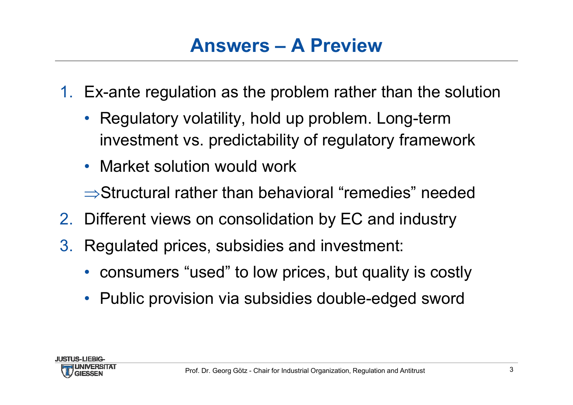# **Answers – A Preview**

- 1. Ex-ante regulation as the problem rather than the solution
	- Regulatory volatility, hold up problem. Long-term investment vs. predictability of regulatory framework
	- Market solution would work

 $\Rightarrow$ Structural rather than behavioral "remedies" needed

- 2. Different views on consolidation by EC and industry
- 3. Regulated prices, subsidies and investment:
	- consumers "used" to low prices, but quality is costly
	- Public provision via subsidies double-edged sword

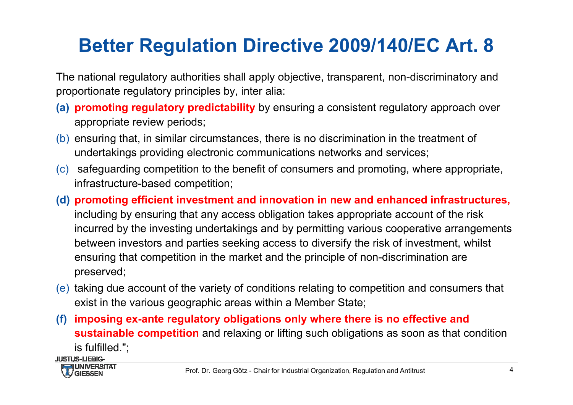# **Better Regulation Directive 2009/140/EC Art. 8**

The national regulatory authorities shall apply objective, transparent, non-discriminatory and proportionate regulatory principles by, inter alia:

- **(a) promoting regulatory predictability** by ensuring a consistent regulatory approach over appropriate review periods;
- (b) ensuring that, in similar circumstances, there is no discrimination in the treatment of undertakings providing electronic communications networks and services;
- (c) safeguarding competition to the benefit of consumers and promoting, where appropriate, infrastructure-based competition;
- **(d) promoting efficient investment and innovation in new and enhanced infrastructures,**  including by ensuring that any access obligation takes appropriate account of the risk incurred by the investing undertakings and by permitting various cooperative arrangements between investors and parties seeking access to diversify the risk of investment, whilst ensuring that competition in the market and the principle of non-discrimination are preserved;
- (e) taking due account of the variety of conditions relating to competition and consumers that exist in the various geographic areas within a Member State;
- **(f) imposing ex-ante regulatory obligations only where there is no effective and sustainable competition** and relaxing or lifting such obligations as soon as that condition is fulfilled.";

**JUSTUS-LIFRIG-**

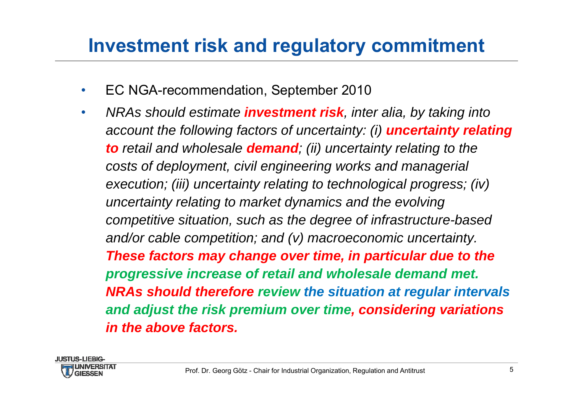#### **Investment risk and regulatory commitment**

- $\bullet$ EC NGA-recommendation, September 2010
- • *NRAs should estimate investment risk, inter alia, by taking into account the following factors of uncertainty: (i) uncertainty relating to retail and wholesale demand; (ii) uncertainty relating to the costs of deployment, civil engineering works and managerial execution; (iii) uncertainty relating to technological progress; (iv) uncertainty relating to market dynamics and the evolving competitive situation, such as the degree of infrastructure-based and/or cable competition; and (v) macroeconomic uncertainty. These factors may change over time, in particular due to the progressive increase of retail and wholesale demand met. NRAs should therefore review the situation at regular intervals and adjust the risk premium over time, considering variations in the above factors.*

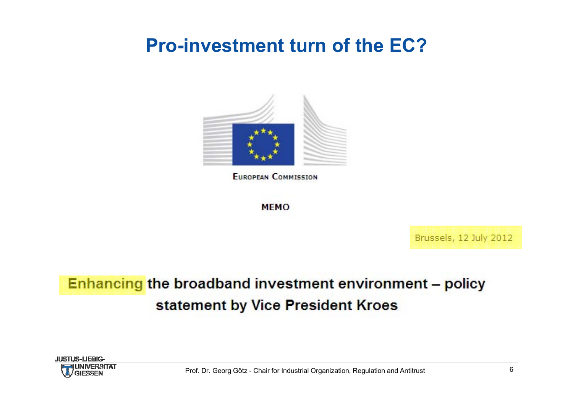#### **Pro-investment turn of the EC?**



**EUROPEAN COMMISSION** 

**MEMO** 

Brussels, 12 July 2012

#### Enhancing the broadband investment environment - policy statement by Vice President Kroes

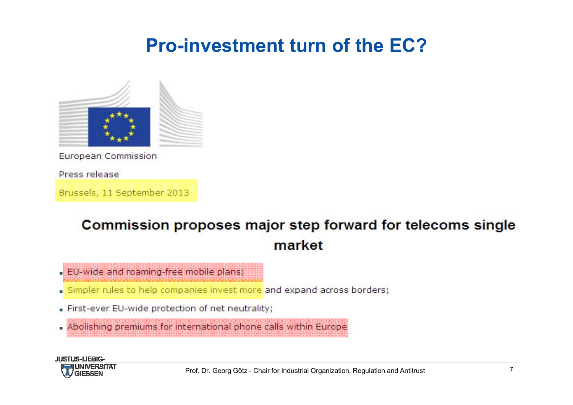### **Pro-investment turn of the EC?**



European Commission

Press release

Brussels, 11 September 2013

#### Commission proposes major step forward for telecoms single market

- . EU-wide and roaming-free mobile plans;
- Simpler rules to help companies invest more and expand across borders;
- First-ever EU-wide protection of net neutrality;
- . Abolishing premiums for international phone calls within Europe

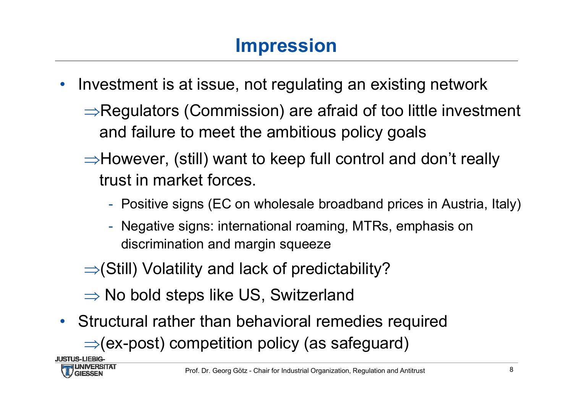# **Impression**

- • Investment is at issue, not regulating an existing network
	- $\Rightarrow$ Regulators (Commission) are afraid of too little investment and failure to meet the ambitious policy goals
	- $\Rightarrow$  However, (still) want to keep full control and don't really trust in market forces.
		- Positive signs (EC on wholesale broadband prices in Austria, Italy)
		- Negative signs: international roaming, MTRs, emphasis on discrimination and margin squeeze
	- $\Rightarrow$  (Still) Volatility and lack of predictability?
	- $\Rightarrow$  No bold steps like US, Switzerland
- Structural rather than behavioral remedies required  $\Rightarrow$  (ex-post) competition policy (as safeguard)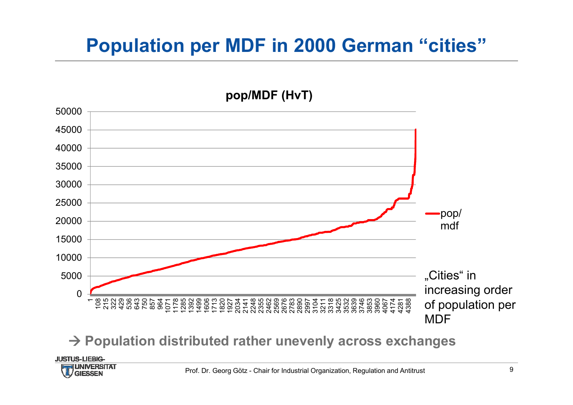### **Population per MDF in 2000 German "cities"**



#### **Population distributed rather unevenly across exchanges**

**JUSTUS-LIEBIG-**

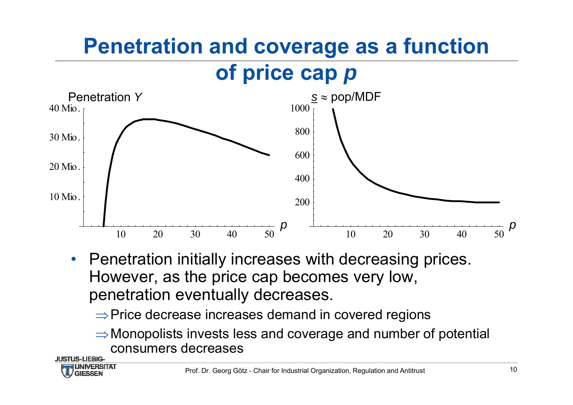# **Penetration and coverage as a function**

# **of price cap** *p*



- • Penetration initially increases with decreasing prices. However, as the price cap becomes very low, penetration eventually decreases.
	- $\Rightarrow$  Price decrease increases demand in covered regions
	- $\Rightarrow$  Monopolists invests less and coverage and number of potential consumers decreases

**JUSTUS-LIEBIG-**

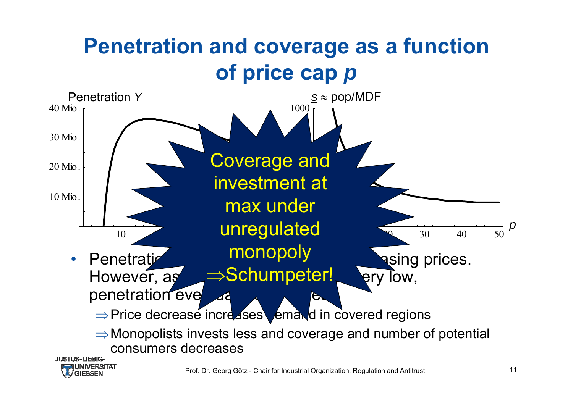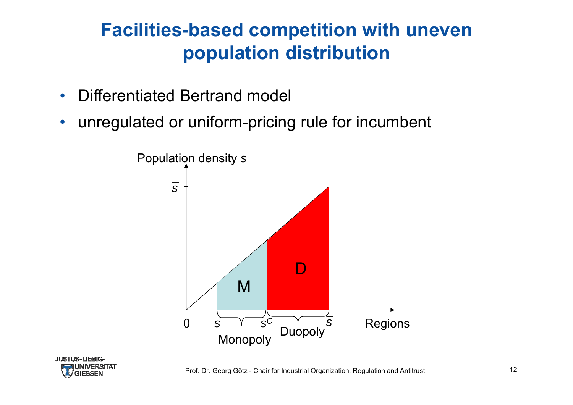#### **Facilities-based competition with uneven population distribution**

- $\bullet$ Differentiated Bertrand model
- $\bullet$ unregulated or uniform-pricing rule for incumbent

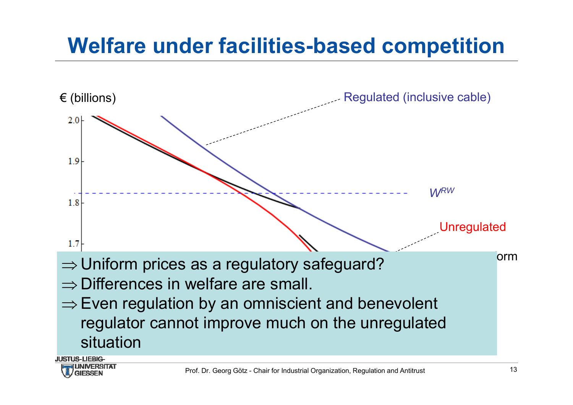# **Welfare under facilities-based competition**



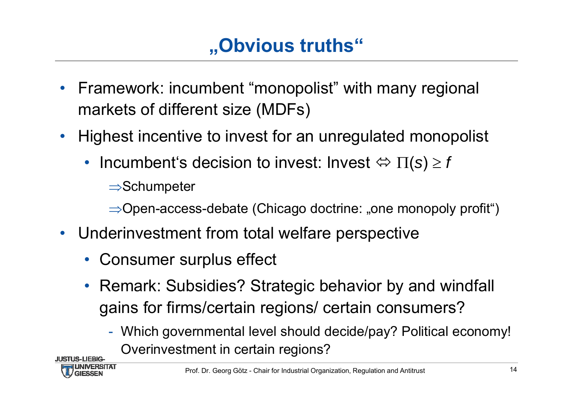# **"Obvious truths"**

- • Framework: incumbent "monopolist" with many regional markets of different size (MDFs)
- Highest incentive to invest for an unregulated monopolist
	- Incumbent's decision to invest: Invest  $\Leftrightarrow \Pi(s) \geq f$

 $\Rightarrow$ Schumpeter

 $\Rightarrow$  Open-access-debate (Chicago doctrine: "one monopoly profit")

- Underinvestment from total welfare perspective
	- Consumer surplus effect
	- Remark: Subsidies? Strategic behavior by and windfall gains for firms/certain regions/ certain consumers?
		- Which governmental level should decide/pay? Political economy! Overinvestment in certain regions?

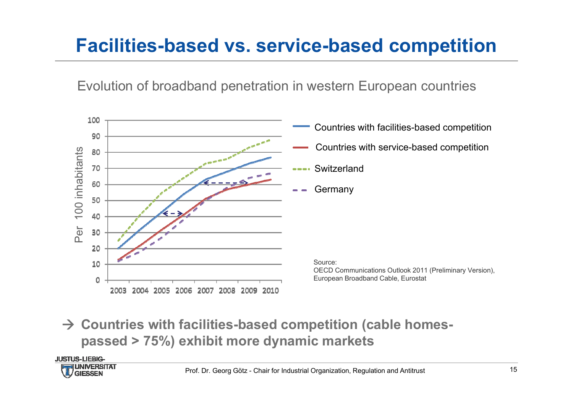## **Facilities-based vs. service-based competition**

Evolution of broadband penetration in western European countries



 **Countries with facilities-based competition (cable homespassed > 75%) exhibit more dynamic markets**

**JUSTUS-LIEBIG-**

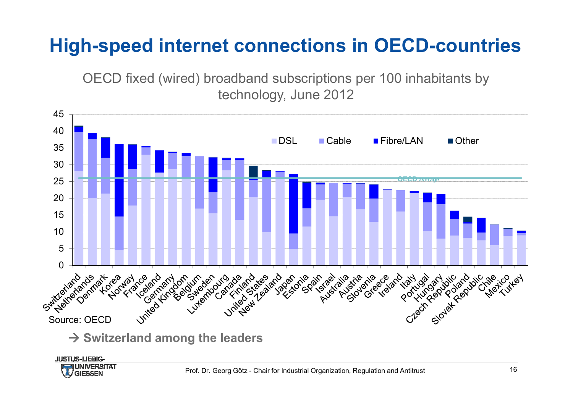# **High-speed internet connections in OECD-countries**

OECD fixed (wired) broadband subscriptions per 100 inhabitants by technology, June 2012



45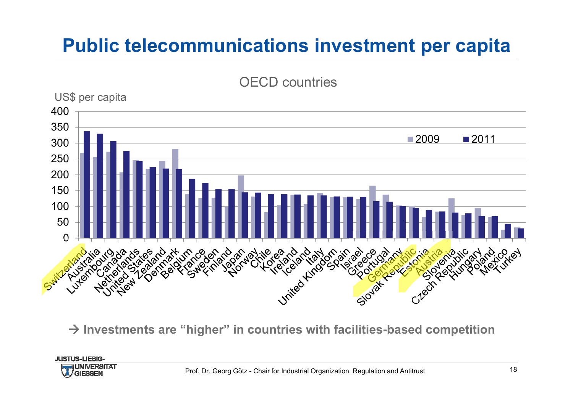## **Public telecommunications investment per capita**



**Investments are "higher" in countries with facilities-based competition**

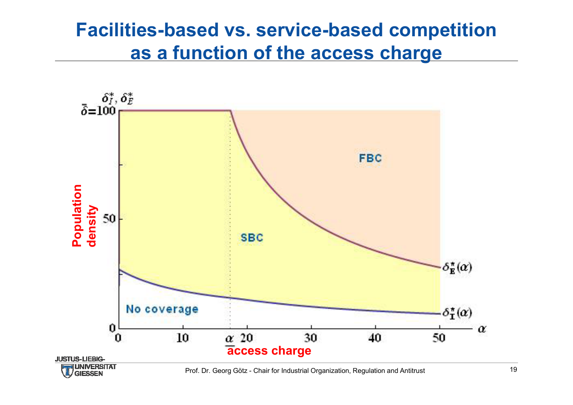#### **Facilities-based vs. service-based competition as a function of the access charge**

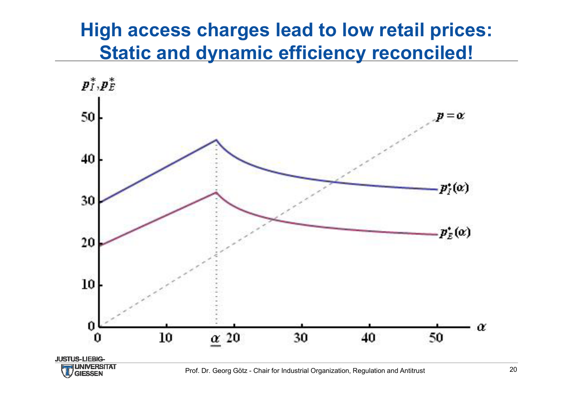#### **High access charges lead to low retail prices: Static and dynamic efficiency reconciled!**

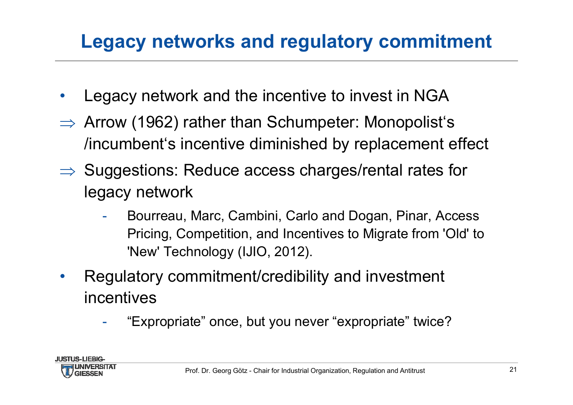# **Legacy networks and regulatory commitment**

- •Legacy network and the incentive to invest in NGA
- $\Rightarrow$  Arrow (1962) rather than Schumpeter: Monopolist's /incumbent's incentive diminished by replacement effect
- $\Rightarrow$  Suggestions: Reduce access charges/rental rates for legacy network
	- - Bourreau, Marc, Cambini, Carlo and Dogan, Pinar, Access Pricing, Competition, and Incentives to Migrate from 'Old' to 'New' Technology (IJIO, 2012).
- • Regulatory commitment/credibility and investment incentives
	- "Expropriate" once, but you never "expropriate" twice?

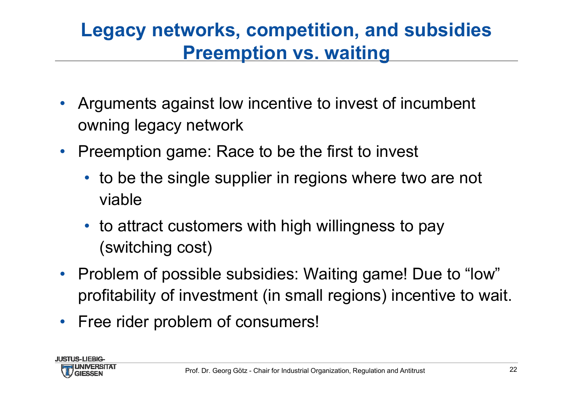### **Legacy networks, competition, and subsidies Preemption vs. waiting**

- • Arguments against low incentive to invest of incumbent owning legacy network
- • Preemption game: Race to be the first to invest
	- to be the single supplier in regions where two are not viable
	- to attract customers with high willingness to pay (switching cost)
- Problem of possible subsidies: Waiting game! Due to "low" profitability of investment (in small regions) incentive to wait.
- Free rider problem of consumers!

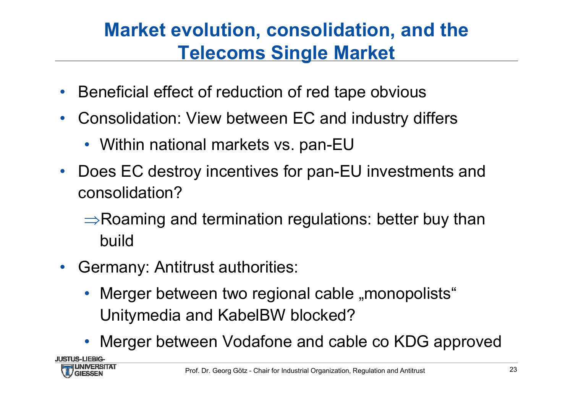## **Market evolution, consolidation, and the Telecoms Single Market**

- •Beneficial effect of reduction of red tape obvious
- $\bullet$  Consolidation: View between EC and industry differs
	- Within national markets vs. pan-EU
- • Does EC destroy incentives for pan-EU investments and consolidation?
	- $\Rightarrow$ Roaming and termination regulations: better buy than build
- • Germany: Antitrust authorities:
	- Merger between two regional cable "monopolists" Unitymedia and KabelBW blocked?
	- Merger between Vodafone and cable co KDG approved

.ILISTLIS-LIFRIG

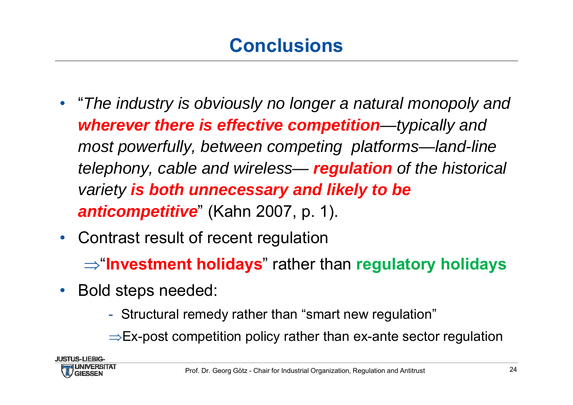# **Conclusions**

- "*The industry is obviously no longer a natural monopoly and wherever there is effective competition—typically and most powerfully, between competing platforms—land-line telephony, cable and wireless— regulation of the historical variety is both unnecessary and likely to be anticompetitive*" (Kahn 2007, p. 1).
- $\bullet$ Contrast result of recent regulation

 $\Rightarrow$  "**Investment holidays**" rather than **regulatory holidays** 

- $\bullet$  Bold steps needed:
	- Structural remedy rather than "smart new regulation"
	- $\Rightarrow$ Ex-post competition policy rather than ex-ante sector regulation

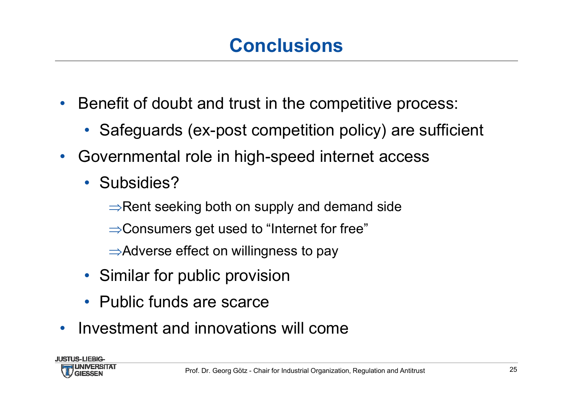# **Conclusions**

- • Benefit of doubt and trust in the competitive process:
	- Safeguards (ex-post competition policy) are sufficient
- • Governmental role in high-speed internet access
	- Subsidies?
		- $\Rightarrow$ Rent seeking both on supply and demand side
		- $\Rightarrow$  Consumers get used to "Internet for free"
		- $\Rightarrow$  Adverse effect on willingness to pay
	- Similar for public provision
	- Public funds are scarce
- $\bullet$ Investment and innovations will come